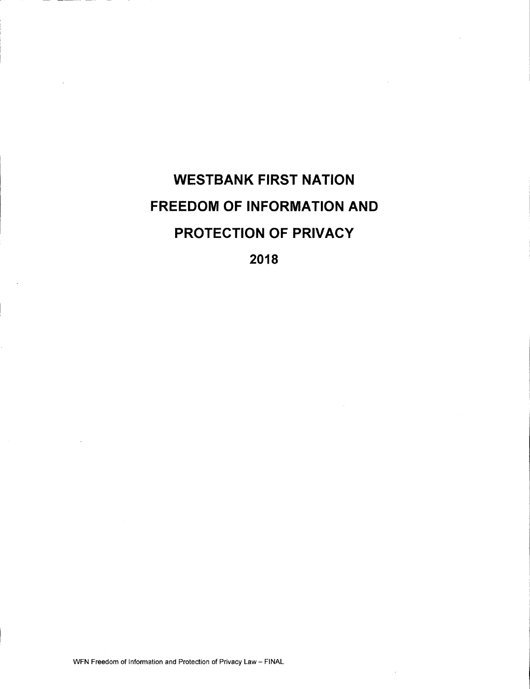# WESTBANK FIRST NATION FREEDOM OF INFORMATION AND PROTECTION OF PRIVACY 2018

WFN Freedom of Information and Protection of Privacy Law— FINAL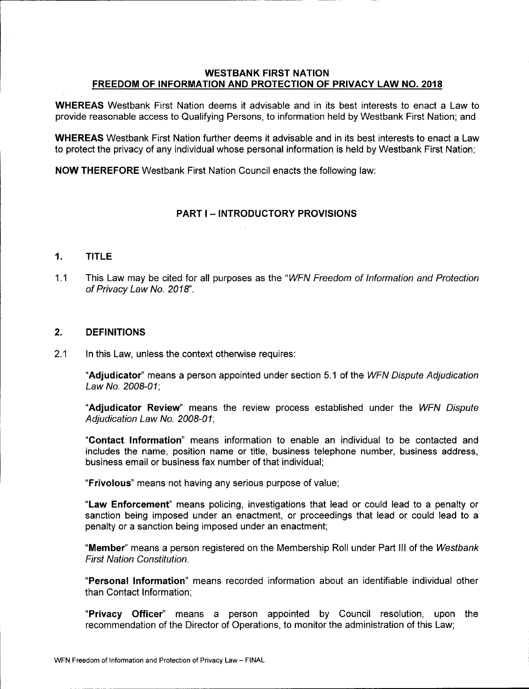# WESTBANK FIRST NATION FREEDOM OF INFORMATION AND PROTECTION OF PRIVACY LAW NO. 2018

WHEREAS Westbank First Nation deems it advisable and in its best interests to enact a Law to provide reasonable access to Qualifying Persons, to information held by Westbank First Nation; and

WHEREAS Westbank First Nation further deems it advisable and in its best interests to enact a Law to protect the privacy of any individual whose personal information is held by Westbank First Nation;

NOW THEREFORE Westbank First Nation Council enacts the following law:

# PART I — INTRODUCTORY PROVISIONS

#### 1. TITLE

1.1 This Law may be cited for all purposes as the "WFN Freedom of Information and Protection of Privacy Law No. 2018".

## 2. DEFINITIONS

2.1 In this Law, unless the context otherwise requires:

"Adjudicator" means a person appointed under section 5.1 of the WFN Dispute Adjudication Law No. 2008-01:

Adjudicator Review" means the review process established under the WFN Dispute Adjudication Law No. 2008-01;

Contact Information" means information to enable an individual to be contacted and includes the name, position name or title, business telephone number, business address, business email or business fax number of that individual;

Frivolous" means not having any serious purpose of value;

"Law Enforcement" means policing, investigations that lead or could lead to a penalty or sanction being imposed under an enactment, or proceedings that lead or could lead to a penalty or a sanction being imposed under an enactment;

"Member" means a person registered on the Membership Roll under Part III of the Westbank First Nation Constitution.

Personal Information" means recorded information about an identifiable individual other than Contact Information;

Privacy Officer" means <sup>a</sup> person appointed by Council resolution, upon the recommendation of the Director of Operations, to monitor the administration of this Law;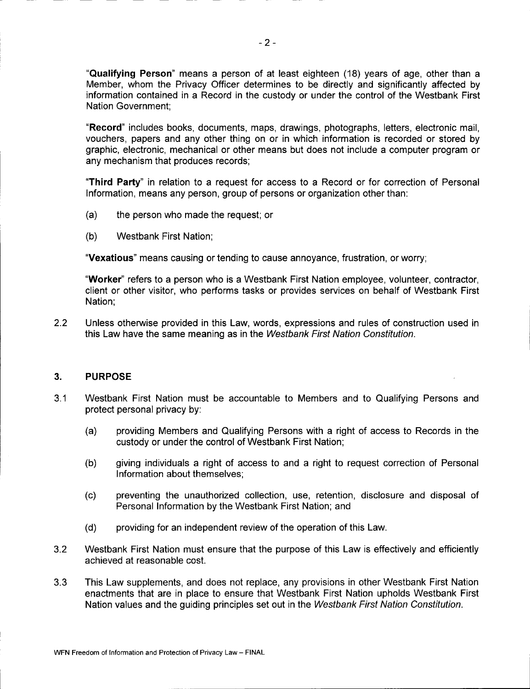Qualifying Person" means a person of at least eighteen ( 18) years of age, other than a Member, whom the Privacy Officer determines to be directly and significantly affected by information contained in a Record in the custody or under the control of the Westbank First Nation Government;

Record" includes books, documents, maps, drawings, photographs, letters, electronic mail, vouchers, papers and any other thing on or in which information is recorded or stored by graphic, electronic, mechanical or other means but does not include a computer program or any mechanism that produces records;

Third Party" in relation to a request for access to a Record or for correction of Personal Information, means any person, group of persons or organization other than:

- a) the person who made the request; or
- b) Westbank First Nation;

Vexatious" means causing or tending to cause annoyance, frustration, or worry;

Worker" refers to a person who is a Westbank First Nation employee, volunteer, contractor, client or other visitor, who performs tasks or provides services on behalf of Westbank First Nation;

2. 2 Unless otherwise provided in this Law, words, expressions and rules of construction used in this Law have the same meaning as in the Westbank First Nation Constitution.

#### 3. PURPOSE

- 3.1 Westbank First Nation must be accountable to Members and to Qualifying Persons and protect personal privacy by:
	- a) providing Members and Qualifying Persons with a right of access to Records in the custody or under the control of Westbank First Nation;
	- b) giving individuals a right of access to and a right to request correction of Personal Information about themselves;
	- c) preventing the unauthorized collection, use, retention, disclosure and disposal of Personal Information by the Westbank First Nation; and
	- d) providing for an independent review of the operation of this Law.
- 3.2 Westbank First Nation must ensure that the purpose of this Law is effectively and efficiently achieved at reasonable cost.
- 3.3 This Law supplements, and does not replace, any provisions in other Westbank First Nation enactments that are in place to ensure that Westbank First Nation upholds Westbank First Nation values and the guiding principles set out in the Westbank First Nation Constitution.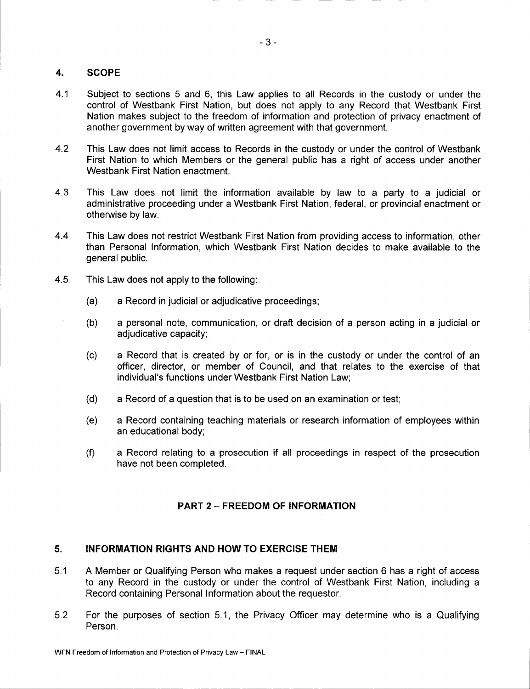# 4. SCOPE

- 4. <sup>1</sup> Subject to sections 5 and 6, this Law applies to all Records in the custody or under the control of Westbank First Nation, but does not apply to any Record that Westbank First Nation makes subject to the freedom of information and protection of privacy enactment of another government by way of written agreement with that government.
- 4.2 This Law does not limit access to Records in the custody or under the control of Westbank First Nation to which Members or the general public has a right of access under another Westbank First Nation enactment.
- 4.3 This Law does not limit the information available by law to a party to a judicial or administrative proceeding under a Westbank First Nation, federal, or provincial enactment or otherwise by law.
- 4.4 This Law does not restrict Westbank First Nation from providing access to information, other than Personal Information, which Westbank First Nation decides to make available to the general public.
- 4.5 This Law does not apply to the following:
	- a) a Record in judicial or adjudicative proceedings;
	- b) a personal note, communication, or draft decision of a person acting in a judicial or adjudicative capacity;
	- c) a Record that is created by or for, or is in the custody or under the control of an officer, director, or member of Council, and that relates to the exercise of that individual's functions under Westbank First Nation Law;
	- d) a Record of a question that is to be used on an examination or test;
	- e) a Record containing teaching materials or research information of employees within an educational body;
	- f) <sup>a</sup> Record relating to <sup>a</sup> prosecution if all proceedings in respect of the prosecution have not been completed.

# PART 2 — FREEDOM OF INFORMATION

# 5. INFORMATION RIGHTS AND HOW TO EXERCISE THEM

- 5. <sup>1</sup> A Member or Qualifying Person who makes a request under section 6 has a right of access to any Record in the custody or under the control of Westbank First Nation, including a Record containing Personal Information about the requestor.
- 5.2 For the purposes of section 5.1, the Privacy Officer may determine who is a Qualifying Person.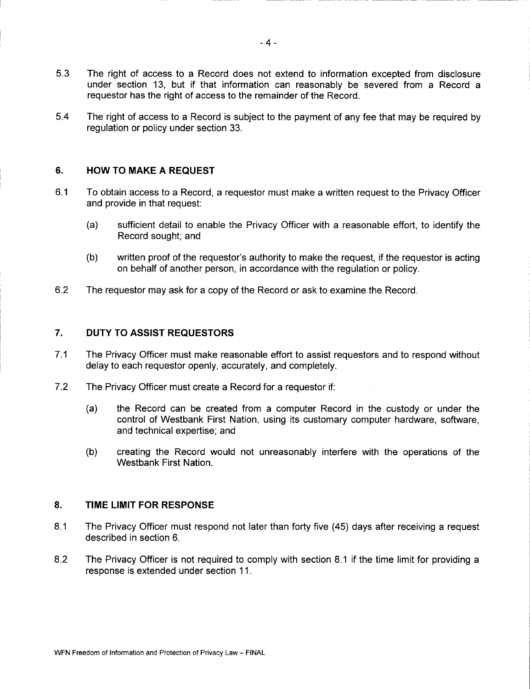- 5.3 The right of access to a Record does not extend to information excepted from disclosure under section 13, but if that information can reasonably be severed from a Record a requestor has the right of access to the remainder of the Record.
- 5. 4 The right of access to a Record is subject to the payment of any fee that may be required by regulation or policy under section 33.

# 6. HOW TO MAKE A REQUEST

- 6.1 To obtain access to a Record, a requestor must make a written request to the Privacy Officer and provide in that request:
	- a) sufficient detail to enable the Privacy Officer with a reasonable effort, to identify the Record sought; and
	- (b) written proof of the requestor's authority to make the request, if the requestor is acting on behalf of another person, in accordance with the regulation or policy.
- 6.2 The requestor may ask for a copy of the Record or ask to examine the Record.

# 7. DUTY TO ASSIST REQUESTORS

- 7.1 The Privacy Officer must make reasonable effort to assist requestors and to respond without delay to each requestor openly, accurately, and completely.
- 7.2 The Privacy Officer must create a Record for a requestor if:
	- a) the Record can be created from a computer Record in the custody or under the control of Westbank First Nation, using its customary computer hardware, software, and technical expertise; and
	- b) creating the Record would not unreasonably interfere with the operations of the Westbank First Nation.

#### 8. TIME LIMIT FOR RESPONSE

- 8.1 The Privacy Officer must respond not later than forty five (45) days after receiving a request described in section 6.
- 8.2 The Privacy Officer is not required to comply with section 8.1 if the time limit for providing a response is extended under section 11.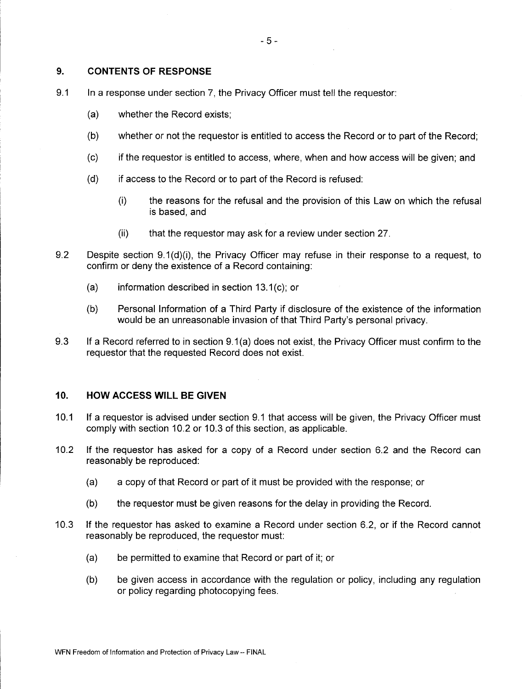# 9. CONTENTS OF RESPONSE

- 9.1 In a response under section 7, the Privacy Officer must tell the requestor:
	- a) whether the Record exists;
	- b) whether or not the requestor is entitled to access the Record or to part of the Record;
	- c) if the requestor is entitled to access, where, when and how access will be given; and
	- d) if access to the Record or to part of the Record is refused:
		- i) the reasons for the refusal and the provision of this Law on which the refusal is based, and
		- (ii) that the requestor may ask for a review under section 27.
- 9.2 Despite section  $9.1(d)(i)$ , the Privacy Officer may refuse in their response to a request, to confirm or deny the existence of a Record containing:
	- (a) information described in section  $13.1(c)$ ; or
	- b) Personal Information of a Third Party if disclosure of the existence of the information would be an unreasonable invasion of that Third Party's personal privacy.
- 9.3 If a Record referred to in section 9.1(a) does not exist, the Privacy Officer must confirm to the requestor that the requested Record does not exist.

## 10. HOW ACCESS WILL BE GIVEN

- 10.1 If a requestor is advised under section 9.1 that access will be given, the Privacy Officer must comply with section 10.2 or 10.3 of this section, as applicable.
- 10.2 If the requestor has asked for a copy of a Record under section 6.2 and the Record can reasonably be reproduced:
	- a) a copy of that Record or part of it must be provided with the response; or
	- b) the requestor must be given reasons for the delay in providing the Record.
- 10.3 If the requestor has asked to examine a Record under section 6.2, or if the Record cannot reasonably be reproduced, the requestor must:
	- a) be permitted to examine that Record or part of it; or
	- b) be given access in accordance with the regulation or policy, including any regulation or policy regarding photocopying fees.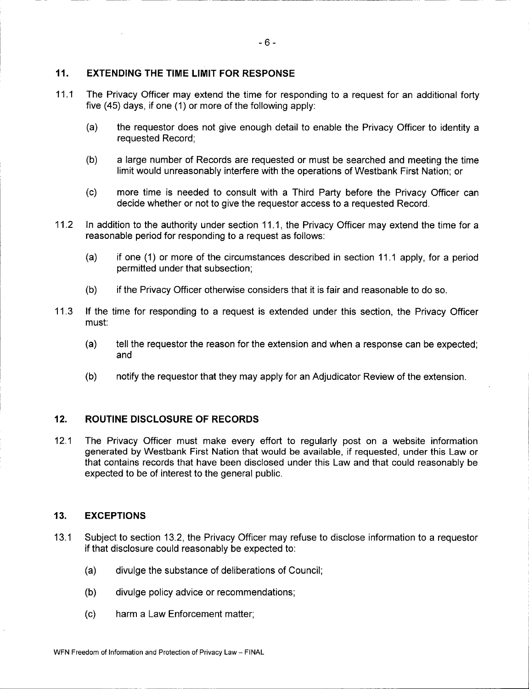# 11. EXTENDING THE TIME LIMIT FOR RESPONSE

- 11.1 The Privacy Officer may extend the time for responding to a request for an additional forty five (45) days, if one (1) or more of the following apply:
	- a) the requestor does not give enough detail to enable the Privacy Officer to identity a requested Record;
	- b) a large number of Records are requested or must be searched and meeting the time limit would unreasonably interfere with the operations of Westbank First Nation; or
	- c) more time is needed to consult with a Third Party before the Privacy Officer can decide whether or not to give the requestor access to a requested Record.
- 11.2 In addition to the authority under section 11.1, the Privacy Officer may extend the time for a reasonable period for responding to a request as follows:
	- (a) if one (1) or more of the circumstances described in section 11.1 apply, for a period permitted under that subsection;
	- b) if the Privacy Officer otherwise considers that it is fair and reasonable to do so.
- 11.3 If the time for responding to a request is extended under this section, the Privacy Officer must:
	- a) tell the requestor the reason for the extension and when a response can be expected; and
	- b) notify the requestor that they may apply for an Adjudicator Review of the extension.

## 12. ROUTINE DISCLOSURE OF RECORDS

12.1 The Privacy Officer must make every effort to regularly post on a website information generated by Westbank First Nation that would be available, if requested, under this Law or that contains records that have been disclosed under this Law and that could reasonably be expected to be of interest to the general public.

## 13. EXCEPTIONS

- 13.1 Subject to section 13.2, the Privacy Officer may refuse to disclose information to a requestor if that disclosure could reasonably be expected to:
	- a) divulge the substance of deliberations of Council;
	- b) divulge policy advice or recommendations;
	- c) harm a Law Enforcement matter;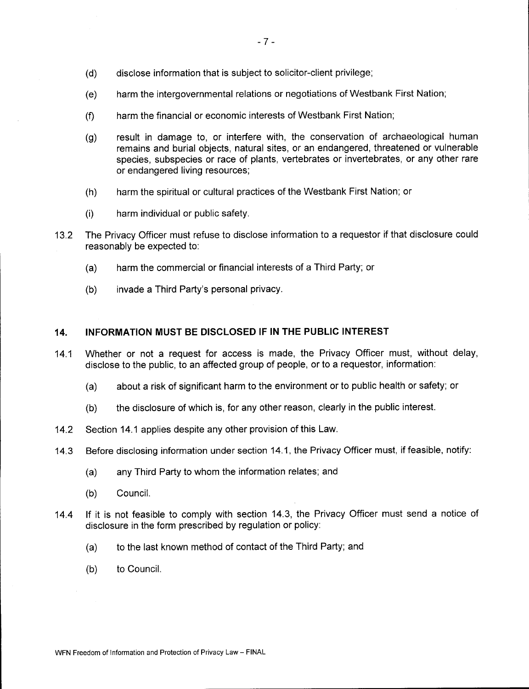- d) disclose information that is subject to solicitor-client privilege;
- e) harm the intergovernmental relations or negotiations of Westbank First Nation;
- f) harm the financial or economic interests of Westbank First Nation;
- g) result in damage to, or interfere with, the conservation of archaeological human remains and burial objects, natural sites, or an endangered, threatened or vulnerable species, subspecies or race of plants, vertebrates or invertebrates, or any other rare or endangered living resources;
- h) harm the spiritual or cultural practices of the Westbank First Nation; or
- i) harm individual or public safety.
- 13.2 The Privacy Officer must refuse to disclose information to a requestor if that disclosure could reasonably be expected to:
	- a) harm the commercial or financial interests of a Third Party; or
	- b) invade a Third Party's personal privacy.

#### 14. INFORMATION MUST BE DISCLOSED IF IN THE PUBLIC INTEREST

- 14.1 Whether or not a request for access is made, the Privacy Officer must, without delay, disclose to the public, to an affected group of people, or to a requestor, information:
	- a) about a risk of significant harm to the environment or to public health or safety; or
	- b) the disclosure of which is, for any other reason, clearly in the public interest.
- 14.2 Section 14.1 applies despite any other provision of this Law.
- 14. 3 Before disclosing information under section 14. 1, the Privacy Officer must, if feasible, notify:
	- a) any Third Party to whom the information relates; and
	- b) Council.
- 14.4 If it is not feasible to comply with section 14.3, the Privacy Officer must send a notice of disclosure in the form prescribed by regulation or policy:
	- a) to the last known method of contact of the Third Party; and
	- b) to Council.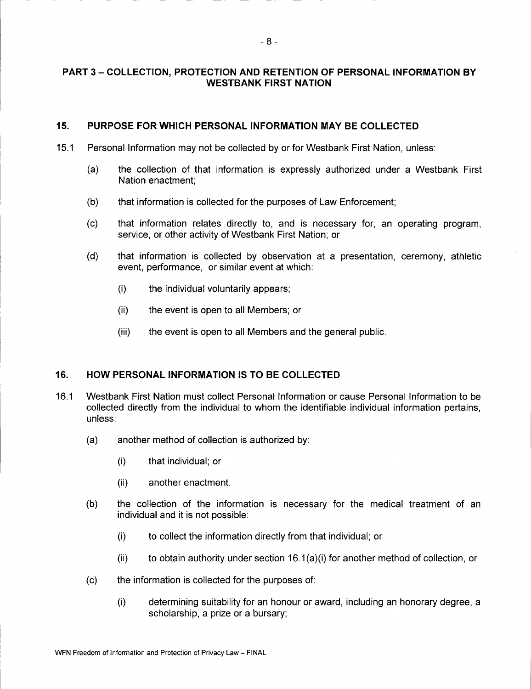# PART 3 — COLLECTION, PROTECTION AND RETENTION OF PERSONAL INFORMATION BY WESTBANK FIRST NATION

## 15. PURPOSE FOR WHICH PERSONAL INFORMATION MAY BE COLLECTED

- 15.1 Personal Information may not be collected by or for Westbank First Nation, unless:
	- a) the collection of that information is expressly authorized under a Westbank First Nation enactment;
	- b) that information is collected for the purposes of Law Enforcement;
	- (c) that information relates directly to, and is necessary for, an operating program, service, or other activity of Westbank First Nation; or
	- d) that information is collected by observation at a presentation, ceremony, athletic event, performance, or similar event at which:
		- i) the individual voluntarily appears;
		- ii) the event is open to all Members; or
		- (iii) the event is open to all Members and the general public.

## 16. HOW PERSONAL INFORMATION IS TO BE COLLECTED

- 16. <sup>1</sup> Westbank First Nation must collect Personal Information or cause Personal Information to be collected directly from the individual to whom the identifiable individual information pertains, unless:
	- a) another method of collection is authorized by:
		- i) that individual; or
		- ii) another enactment.
	- b) the collection of the information is necessary for the medical treatment of an individual and it is not possible:
		- i) to collect the information directly from that individual; or
		- (ii) to obtain authority under section  $16.1(a)$  (i) for another method of collection, or
	- c) the information is collected for the purposes of:
		- i) determining suitability for an honour or award, including an honorary degree, a scholarship, a prize or a bursary;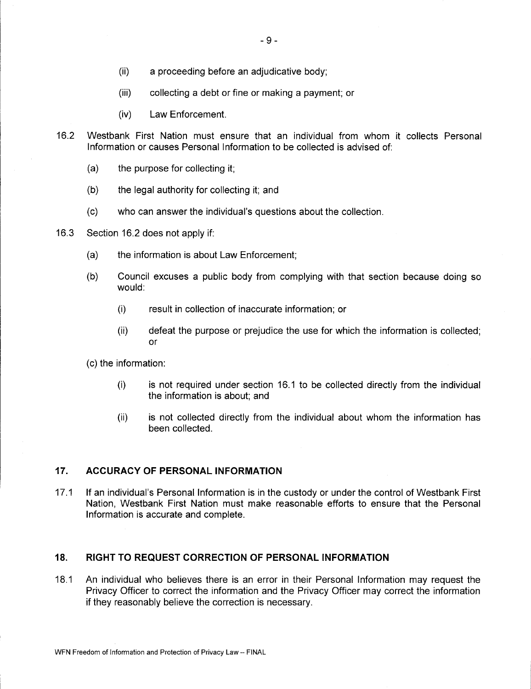- ii) a proceeding before an adjudicative body;
- iii) collecting a debt or fine or making a payment; or
- iv) Law Enforcement.
- 16.2 Westbank First Nation must ensure that an individual from whom it collects Personal Information or causes Personal Information to be collected is advised of:
	- a) the purpose for collecting it;
	- b) the legal authority for collecting it; and
	- (c) who can answer the individual's questions about the collection.
- 16.3 Section 16.2 does not apply if:
	- a) the information is about Law Enforcement;
	- b) Council excuses a public body from complying with that section because doing so would:
		- i) result in collection of inaccurate information; or
		- ii) defeat the purpose or prejudice the use for which the information is collected; or
	- c) the information:
		- i) is not required under section 16. <sup>1</sup> to be collected directly from the individual the information is about; and
		- ii) is not collected directly from the individual about whom the information has been collected.

#### 17. ACCURACY OF PERSONAL INFORMATION

17.1 If an individual's Personal Information is in the custody or under the control of Westbank First Nation, Westbank First Nation must make reasonable efforts to ensure that the Personal Information is accurate and complete.

# 18. RIGHT TO REQUEST CORRECTION OF PERSONAL INFORMATION

18. <sup>1</sup> An individual who believes there is an error in their Personal Information may request the Privacy Officer to correct the information and the Privacy Officer may correct the information if they reasonably believe the correction is necessary.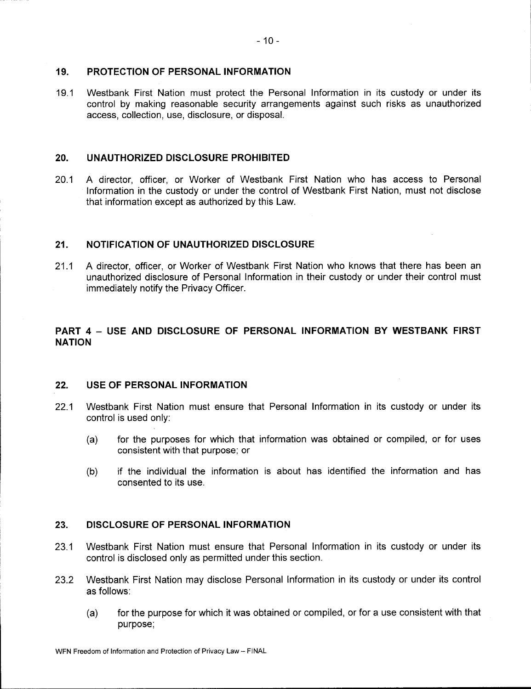#### 19. PROTECTION OF PERSONAL INFORMATION

19.1 Westbank First Nation must protect the Personal Information in its custody or under its control by making reasonable security arrangements against such risks as unauthorized access, collection, use, disclosure, or disposal.

#### 20. UNAUTHORIZED DISCLOSURE PROHIBITED

20.1 A director, officer, or Worker of Westbank First Nation who has access to Personal Information in the custody or under the control of Westbank First Nation, must not disclose that information except as authorized by this Law.

## 21. NOTIFICATION OF UNAUTHORIZED DISCLOSURE

21.1 A director, officer, or Worker of Westbank First Nation who knows that there has been an unauthorized disclosure of Personal Information in their custody or under their control must immediately notify the Privacy Officer.

# PART 4 — USE AND DISCLOSURE OF PERSONAL INFORMATION BY WESTBANK FIRST NATION

#### 22. USE OF PERSONAL INFORMATION

- 22.1 Westbank First Nation must ensure that Personal Information in its custody or under its control is used only:
	- a) for the purposes for which that information was obtained or compiled, or for uses consistent with that purpose; or
	- b) if the individual the information is about has identified the information and has consented to its use.

# 23. DISCLOSURE OF PERSONAL INFORMATION

- 23.1 Westbank First Nation must ensure that Personal Information in its custody or under its control is disclosed only as permitted under this section.
- 23.2 Westbank First Nation may disclose Personal Information in its custody or under its control as follows:
	- a) for the purpose for which it was obtained or compiled, or for a use consistent with that purpose;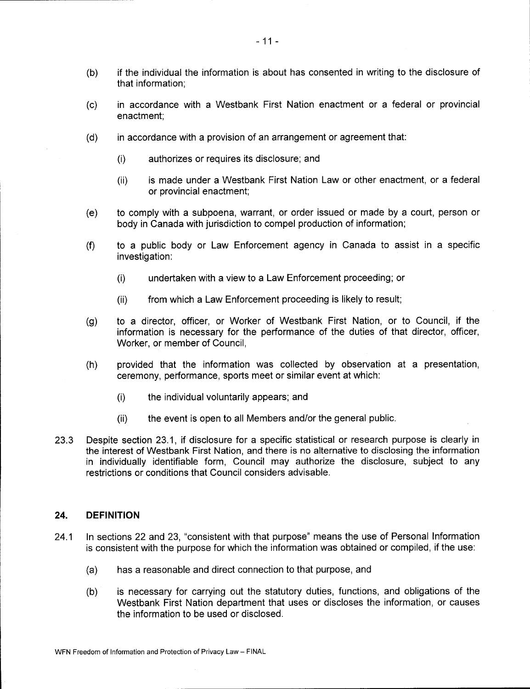- b) if the individual the information is about has consented in writing to the disclosure of that information;
- c) in accordance with a Westbank First Nation enactment or a federal or provincial enactment;
- d) in accordance with a provision of an arrangement or agreement that:
	- i) authorizes or requires its disclosure; and
	- ii) is made under a Westbank First Nation Law or other enactment, or a federal or provincial enactment;
- e) to comply with a subpoena, warrant, or order issued or made by a court, person or body in Canada with jurisdiction to compel production of information;
- f) to <sup>a</sup> public body or Law Enforcement agency in Canada to assist in <sup>a</sup> specific investigation:
	- i) undertaken with a view to a Law Enforcement proceeding; or
	- ii) from which a Law Enforcement proceeding is likely to result;
- g) to <sup>a</sup> director, officer, or Worker of Westbank First Nation, or to Council, if the information is necessary for the performance of the duties of that director, officer, Worker, or member of Council,
- h) provided that the information was collected by observation at a presentation, ceremony, performance, sports meet or similar event at which:
	- i) the individual voluntarily appears; and
	- (ii) the event is open to all Members and/or the general public.
- 23.3 Despite section 23.1, if disclosure for a specific statistical or research purpose is clearly in the interest of Westbank First Nation, and there is no alternative to disclosing the information in individually identifiable form, Council may authorize the disclosure, subject to any restrictions or conditions that Council considers advisable.

#### 24. DEFINITION

- 24.1 In sections 22 and 23, "consistent with that purpose" means the use of Personal Information is consistent with the purpose for which the information was obtained or compiled, if the use:
	- a) has a reasonable and direct connection to that purpose, and
	- b) is necessary for carrying out the statutory duties, functions, and obligations of the Westbank First Nation department that uses or discloses the information, or causes the information to be used or disclosed.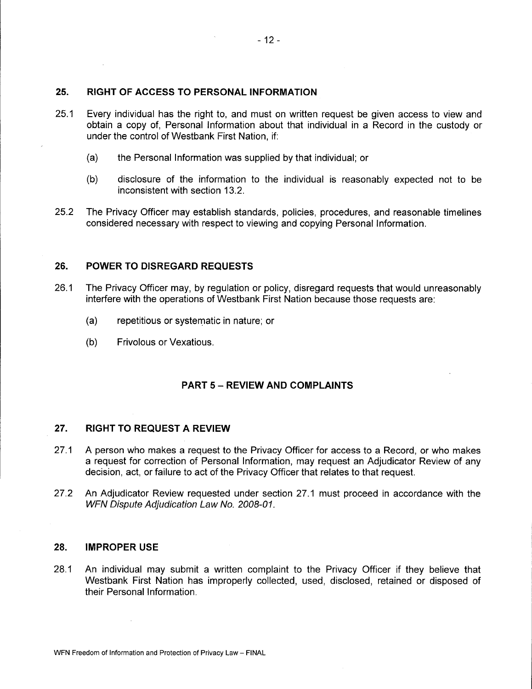## 25. RIGHT OF ACCESS TO PERSONAL INFORMATION

 $\sim$   $\sim$ 

- 25.1 Every individual has the right to, and must on written request be given access to view and obtain a copy of, Personal Information about that individual in a Record in the custody or under the control of Westbank First Nation, if:
	- a) the Personal Information was supplied by that individual; or
	- b) disclosure of the information to the individual is reasonably expected not to be inconsistent with section 13.2.
- 25.2 The Privacy Officer may establish standards, policies, procedures, and reasonable timelines considered necessary with respect to viewing and copying Personal Information.

#### 26. POWER TO DISREGARD REQUESTS

- 26. <sup>1</sup> The Privacy Officer may, by regulation or policy, disregard requests that would unreasonably interfere with the operations of Westbank First Nation because those requests are:
	- a) repetitious or systematic in nature; or
	- b) Frivolous or Vexatious.

#### PART 5— REVIEW AND COMPLAINTS

#### 27. RIGHT TO REQUEST A REVIEW

- 27.1 A person who makes a request to the Privacy Officer for access to a Record, or who makes a request for correction of Personal Information, may request an Adjudicator Review of any decision, act, or failure to act of the Privacy Officer that relates to that request.
- 27.2 An Adjudicator Review requested under section 27.1 must proceed in accordance with the WFN Dispute Adjudication Law No. 2008-01.

## 28. IMPROPER USE

28.1 An individual may submit a written complaint to the Privacy Officer if they believe that Westbank First Nation has improperly collected, used, disclosed, retained or disposed of their Personal Information.

 $\mathbb{R}^2$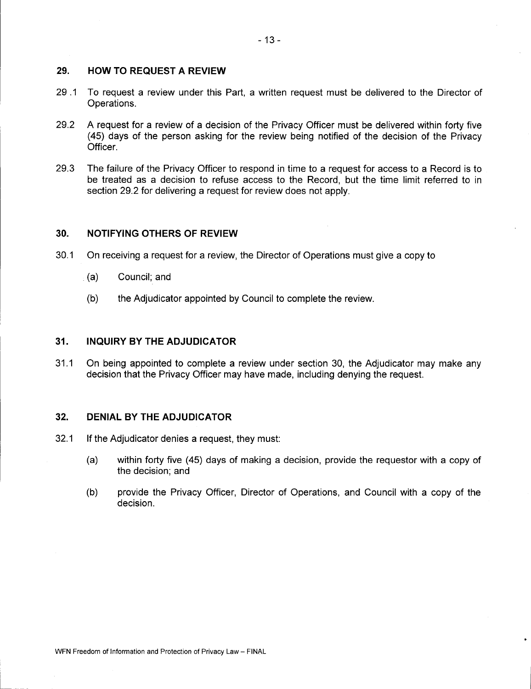# 29. HOW TO REQUEST A REVIEW

- 29 . <sup>1</sup> To request a review under this Part, a written request must be delivered to the Director of Operations.
- 29.2 A request for a review of a decision of the Privacy Officer must be delivered within forty five 45) days of the person asking for the review being notified of the decision of the Privacy Officer.
- 29. <sup>3</sup> The failure of the Privacy Officer to respond in time to a request for access to a Record is to be treated as a decision to refuse access to the Record, but the time limit referred to in section 29.2 for delivering a request for review does not apply.

# 30. NOTIFYING OTHERS OF REVIEW

- 30. <sup>1</sup> On receiving a request for a review, the Director of Operations must give a copy to
	- $(a)$  Council; and
	- b) the Adjudicator appointed by Council to complete the review.

#### 31. INQUIRY BY THE ADJUDICATOR

31.1 On being appointed to complete a review under section 30, the Adjudicator may make any decision that the Privacy Officer may have made, including denying the request.

#### 32. DENIAL BY THE ADJUDICATOR

- 32. <sup>1</sup> If the Adjudicator denies <sup>a</sup> request, they must:
	- a) within forty five ( 45) days of making a decision, provide the requestor with a copy of the decision; and
	- b) provide the Privacy Officer, Director of Operations, and Council with a copy of the decision.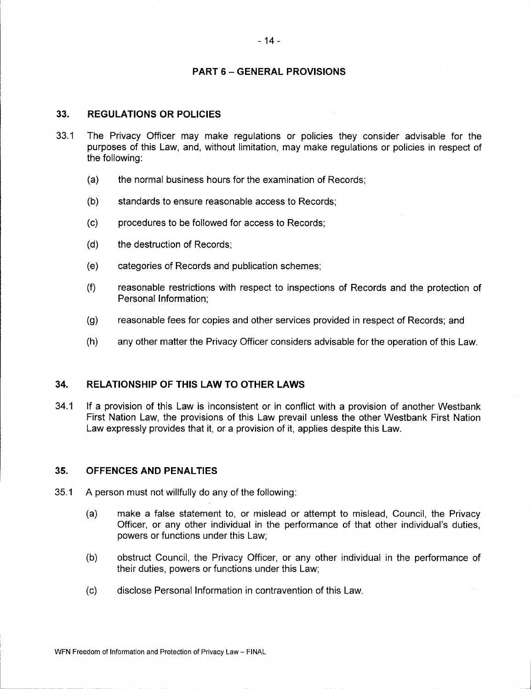# PART 6 — GENERAL PROVISIONS

#### 33. REGULATIONS OR POLICIES

- 33.1 The Privacy Officer may make regulations or policies they consider advisable for the purposes of this Law, and, without limitation, may make regulations or policies in respect of the following:
	- a) the normal business hours for the examination of Records;
	- b) standards to ensure reasonable access to Records;
	- c) procedures to be followed for access to Records;
	- d) the destruction of Records;
	- e) categories of Records and publication schemes;
	- f) reasonable restrictions with respect to inspections of Records and the protection of Personal Information;
	- g) reasonable fees for copies and other services provided in respect of Records; and
	- h) any other matter the Privacy Officer considers advisable for the operation of this Law.

## 34. RELATIONSHIP OF THIS LAW TO OTHER LAWS

34.1 If a provision of this Law is inconsistent or in conflict with a provision of another Westbank First Nation Law, the provisions of this Law prevail unless the other Westbank First Nation Law expressly provides that it, or a provision of it, applies despite this Law.

#### 35. OFFENCES AND PENALTIES

- 35. <sup>1</sup> A person must not willfully do any of the following:
	- a) make a false statement to, or mislead or attempt to mislead, Council, the Privacy Officer, or any other individual in the performance of that other individual's duties, powers or functions under this Law;
	- b) obstruct Council, the Privacy Officer, or any other individual in the performance of their duties, powers or functions under this Law;
	- c) disclose Personal Information in contravention of this Law.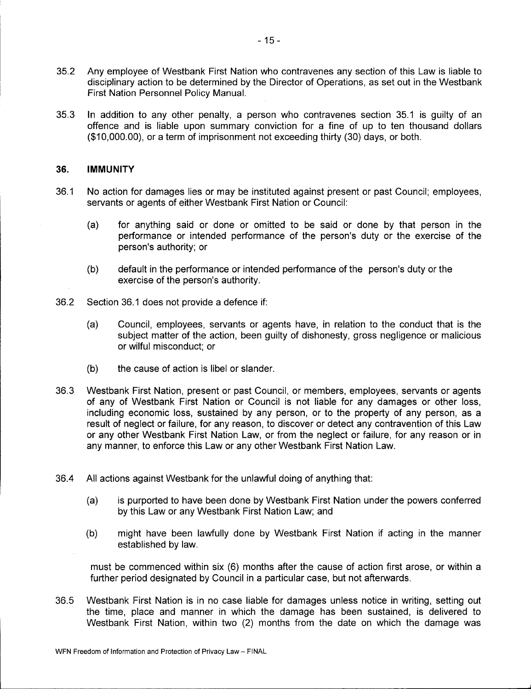- 35. <sup>2</sup> Any employee of Westbank First Nation who contravenes any section of this Law is liable to disciplinary action to be determined by the Director of Operations, as set out in the Westbank First Nation Personnel Policy Manual.
- 35.3 In addition to any other penalty, a person who contravenes section 35.1 is guilty of an offence and is liable upon summary conviction for a fine of up to ten thousand dollars 10, 000. 00), or a term of imprisonment not exceeding thirty ( 30) days, or both.

#### 36. IMMUNITY

- 36. <sup>1</sup> No action for damages lies or may be instituted against present or past Council; employees, servants or agents of either Westbank First Nation or Council:
	- a) for anything said or done or omitted to be said or done by that person in the performance or intended performance of the person's duty or the exercise of the person's authority; or
	- (b) default in the performance or intended performance of the person's duty or the exercise of the person's authority.
- 36. 2 Section 36. <sup>1</sup> does not provide a defence if:
	- a) Council, employees, servants or agents have, in relation to the conduct that is the subject matter of the action, been guilty of dishonesty, gross negligence or malicious or wilful misconduct; or
	- b) the cause of action is libel or slander.
- 36. 3 Westbank First Nation, present or past Council, or members, employees, servants or agents of any of Westbank First Nation or Council is not liable for any damages or other loss, including economic loss, sustained by any person, or to the property of any person, as a result of neglect or failure, for any reason, to discover or detect any contravention of this Law or any other Westbank First Nation Law, or from the neglect or failure, for any reason or in any manner, to enforce this Law or any other Westbank First Nation Law.
- 36. 4 All actions against Westbank for the unlawful doing of anything that:
	- a) is purported to have been done by Westbank First Nation under the powers conferred by this Law or any Westbank First Nation Law; and
	- b) might have been lawfully done by Westbank First Nation if acting in the manner established by law.

must be commenced within six (6) months after the cause of action first arose, or within a further period designated by Council in a particular case, but not afterwards.

36. 5 Westbank First Nation is in no case liable for damages unless notice in writing, setting out the time, place and manner in which the damage has been sustained, is delivered to Westbank First Nation, within two (2) months from the date on which the damage was